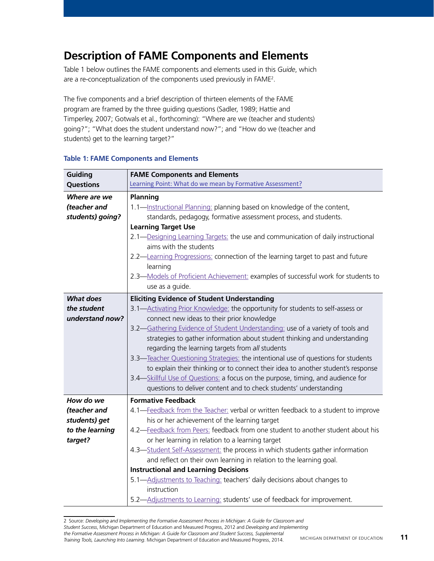## **Description of FAME Components and Elements**

Table 1 below outlines the FAME components and elements used in this *Guide*, which are a re-conceptualization of the components used previously in FAME2 .

The five components and a brief description of thirteen elements of the FAME program are framed by the three guiding questions (Sadler, 1989; Hattie and Timperley, 2007; Gotwals et al., forthcoming): "Where are we (teacher and students) going?"; "What does the student understand now?"; and "How do we (teacher and students) get to the learning target?"

| Guiding          | <b>FAME Components and Elements</b>                                               |
|------------------|-----------------------------------------------------------------------------------|
| <b>Questions</b> | Learning Point: What do we mean by Formative Assessment?                          |
| Where are we     | <b>Planning</b>                                                                   |
| (teacher and     | 1.1-Instructional Planning: planning based on knowledge of the content,           |
| students) going? | standards, pedagogy, formative assessment process, and students.                  |
|                  | <b>Learning Target Use</b>                                                        |
|                  | 2.1-Designing Learning Targets: the use and communication of daily instructional  |
|                  | aims with the students                                                            |
|                  | 2.2-Learning Progressions: connection of the learning target to past and future   |
|                  | learning                                                                          |
|                  | 2.3-Models of Proficient Achievement: examples of successful work for students to |
|                  | use as a guide.                                                                   |
| <b>What does</b> | <b>Eliciting Evidence of Student Understanding</b>                                |
| the student      | 3.1-Activating Prior Knowledge: the opportunity for students to self-assess or    |
| understand now?  | connect new ideas to their prior knowledge                                        |
|                  | 3.2-Gathering Evidence of Student Understanding: use of a variety of tools and    |
|                  | strategies to gather information about student thinking and understanding         |
|                  | regarding the learning targets from all students                                  |
|                  | 3.3-Teacher Questioning Strategies: the intentional use of questions for students |
|                  | to explain their thinking or to connect their idea to another student's response  |
|                  | 3.4-Skillful Use of Questions: a focus on the purpose, timing, and audience for   |
|                  | questions to deliver content and to check students' understanding                 |
| How do we        | <b>Formative Feedback</b>                                                         |
| (teacher and     | 4.1-Feedback from the Teacher: verbal or written feedback to a student to improve |
| students) get    | his or her achievement of the learning target                                     |
| to the learning  | 4.2-Feedback from Peers: feedback from one student to another student about his   |
| target?          | or her learning in relation to a learning target                                  |
|                  | 4.3-Student Self-Assessment: the process in which students gather information     |
|                  | and reflect on their own learning in relation to the learning goal.               |
|                  | <b>Instructional and Learning Decisions</b>                                       |
|                  | 5.1-Adjustments to Teaching: teachers' daily decisions about changes to           |
|                  | instruction                                                                       |
|                  | 5.2-Adjustments to Learning: students' use of feedback for improvement.           |

## **Table 1: FAME Components and Elements**

<sup>2</sup> Source: *Developing and Implementing the Formative Assessment Process in Michigan: A Guide for Classroom and Student Success*, Michigan Department of Education and Measured Progress, 2012 and *Developing and Implementing the Formative Assessment Process in Michigan: A Guide for Classroom and Student Success, Supplemental Training Tools, Launching Into Learning*. Michigan Department of Education and Measured Progress, 2014.